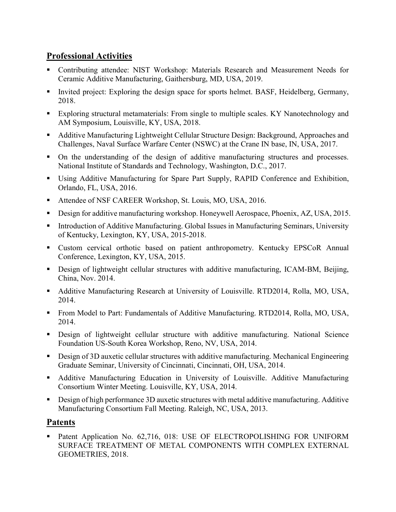# Professional Activities

- Contributing attendee: NIST Workshop: Materials Research and Measurement Needs for Ceramic Additive Manufacturing, Gaithersburg, MD, USA, 2019.
- Invited project: Exploring the design space for sports helmet. BASF, Heidelberg, Germany, 2018.
- Exploring structural metamaterials: From single to multiple scales. KY Nanotechnology and AM Symposium, Louisville, KY, USA, 2018.
- Additive Manufacturing Lightweight Cellular Structure Design: Background, Approaches and Challenges, Naval Surface Warfare Center (NSWC) at the Crane IN base, IN, USA, 2017.
- On the understanding of the design of additive manufacturing structures and processes. National Institute of Standards and Technology, Washington, D.C., 2017.
- Using Additive Manufacturing for Spare Part Supply, RAPID Conference and Exhibition, Orlando, FL, USA, 2016.
- Attendee of NSF CAREER Workshop, St. Louis, MO, USA, 2016.
- Design for additive manufacturing workshop. Honeywell Aerospace, Phoenix, AZ, USA, 2015.
- **Introduction of Additive Manufacturing. Global Issues in Manufacturing Seminars, University** of Kentucky, Lexington, KY, USA, 2015-2018.
- Custom cervical orthotic based on patient anthropometry. Kentucky EPSCoR Annual Conference, Lexington, KY, USA, 2015.
- Design of lightweight cellular structures with additive manufacturing, ICAM-BM, Beijing, China, Nov. 2014.
- Additive Manufacturing Research at University of Louisville. RTD2014, Rolla, MO, USA, 2014.
- **From Model to Part: Fundamentals of Additive Manufacturing. RTD2014, Rolla, MO, USA,** 2014.
- **Design of lightweight cellular structure with additive manufacturing. National Science** Foundation US-South Korea Workshop, Reno, NV, USA, 2014.
- Design of 3D auxetic cellular structures with additive manufacturing. Mechanical Engineering Graduate Seminar, University of Cincinnati, Cincinnati, OH, USA, 2014.
- Additive Manufacturing Education in University of Louisville. Additive Manufacturing Consortium Winter Meeting. Louisville, KY, USA, 2014.
- Design of high performance 3D auxetic structures with metal additive manufacturing. Additive Manufacturing Consortium Fall Meeting. Raleigh, NC, USA, 2013.

## Patents

**Patent Application No. 62,716, 018: USE OF ELECTROPOLISHING FOR UNIFORM** SURFACE TREATMENT OF METAL COMPONENTS WITH COMPLEX EXTERNAL GEOMETRIES, 2018.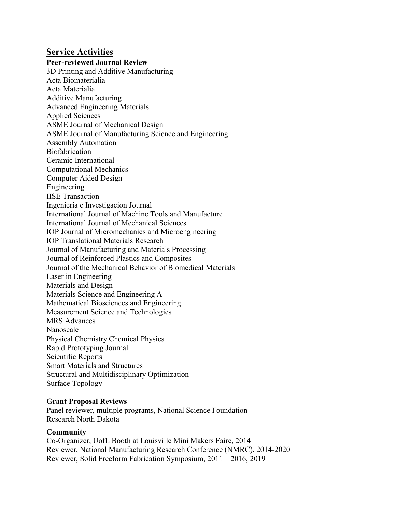Service Activities Peer-reviewed Journal Review 3D Printing and Additive Manufacturing Acta Biomaterialia Acta Materialia Additive Manufacturing Advanced Engineering Materials Applied Sciences ASME Journal of Mechanical Design ASME Journal of Manufacturing Science and Engineering Assembly Automation **Biofabrication** Ceramic International Computational Mechanics Computer Aided Design Engineering IISE Transaction Ingenieria e Investigacion Journal International Journal of Machine Tools and Manufacture International Journal of Mechanical Sciences IOP Journal of Micromechanics and Microengineering IOP Translational Materials Research Journal of Manufacturing and Materials Processing Journal of Reinforced Plastics and Composites Journal of the Mechanical Behavior of Biomedical Materials Laser in Engineering Materials and Design Materials Science and Engineering A Mathematical Biosciences and Engineering Measurement Science and Technologies MRS Advances Nanoscale Physical Chemistry Chemical Physics Rapid Prototyping Journal Scientific Reports Smart Materials and Structures Structural and Multidisciplinary Optimization

#### Grant Proposal Reviews

Surface Topology

Panel reviewer, multiple programs, National Science Foundation Research North Dakota

### **Community**

Co-Organizer, UofL Booth at Louisville Mini Makers Faire, 2014 Reviewer, National Manufacturing Research Conference (NMRC), 2014-2020 Reviewer, Solid Freeform Fabrication Symposium, 2011 – 2016, 2019